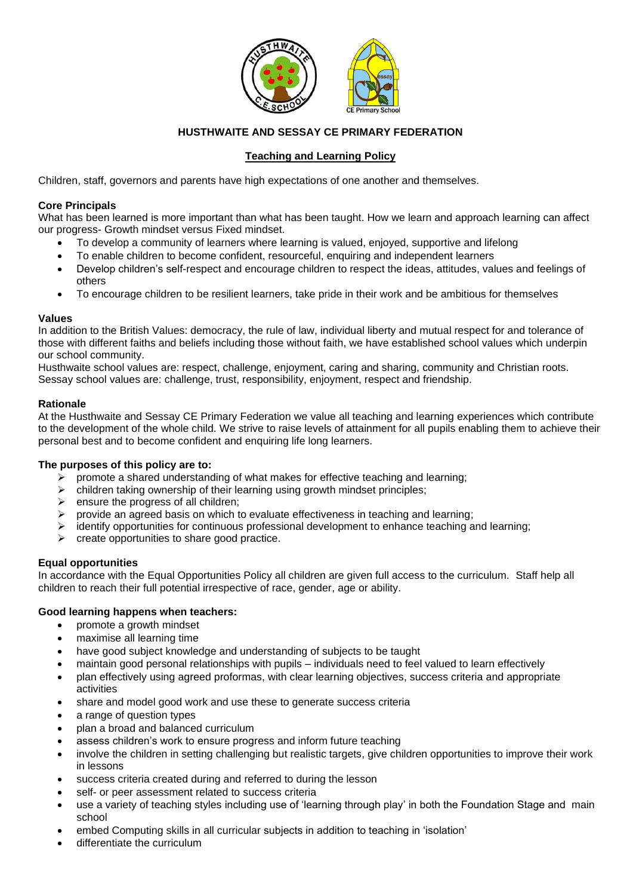

# **HUSTHWAITE AND SESSAY CE PRIMARY FEDERATION**

# **Teaching and Learning Policy**

Children, staff, governors and parents have high expectations of one another and themselves.

### **Core Principals**

What has been learned is more important than what has been taught. How we learn and approach learning can affect our progress- Growth mindset versus Fixed mindset.

- To develop a community of learners where learning is valued, enjoyed, supportive and lifelong
- To enable children to become confident, resourceful, enquiring and independent learners
- Develop children's self-respect and encourage children to respect the ideas, attitudes, values and feelings of others
- To encourage children to be resilient learners, take pride in their work and be ambitious for themselves

#### **Values**

In addition to the British Values: democracy, the rule of law, individual liberty and mutual respect for and tolerance of those with different faiths and beliefs including those without faith, we have established school values which underpin our school community.

Husthwaite school values are: respect, challenge, enjoyment, caring and sharing, community and Christian roots. Sessay school values are: challenge, trust, responsibility, enjoyment, respect and friendship.

#### **Rationale**

At the Husthwaite and Sessay CE Primary Federation we value all teaching and learning experiences which contribute to the development of the whole child. We strive to raise levels of attainment for all pupils enabling them to achieve their personal best and to become confident and enquiring life long learners.

# **The purposes of this policy are to:**

- $\triangleright$  promote a shared understanding of what makes for effective teaching and learning;
- $\triangleright$  children taking ownership of their learning using growth mindset principles;
- $\triangleright$  ensure the progress of all children;
- ➢ provide an agreed basis on which to evaluate effectiveness in teaching and learning;
- ➢ identify opportunities for continuous professional development to enhance teaching and learning;
- $\triangleright$  create opportunities to share good practice.

# **Equal opportunities**

In accordance with the Equal Opportunities Policy all children are given full access to the curriculum. Staff help all children to reach their full potential irrespective of race, gender, age or ability.

# **Good learning happens when teachers:**

- promote a growth mindset
- maximise all learning time
- have good subject knowledge and understanding of subjects to be taught
- maintain good personal relationships with pupils individuals need to feel valued to learn effectively
- plan effectively using agreed proformas, with clear learning objectives, success criteria and appropriate activities
- share and model good work and use these to generate success criteria
- a range of question types
- plan a broad and balanced curriculum
- assess children's work to ensure progress and inform future teaching
- involve the children in setting challenging but realistic targets, give children opportunities to improve their work in lessons
- success criteria created during and referred to during the lesson
- self- or peer assessment related to success criteria
- use a variety of teaching styles including use of 'learning through play' in both the Foundation Stage and main school
- embed Computing skills in all curricular subjects in addition to teaching in 'isolation'
- differentiate the curriculum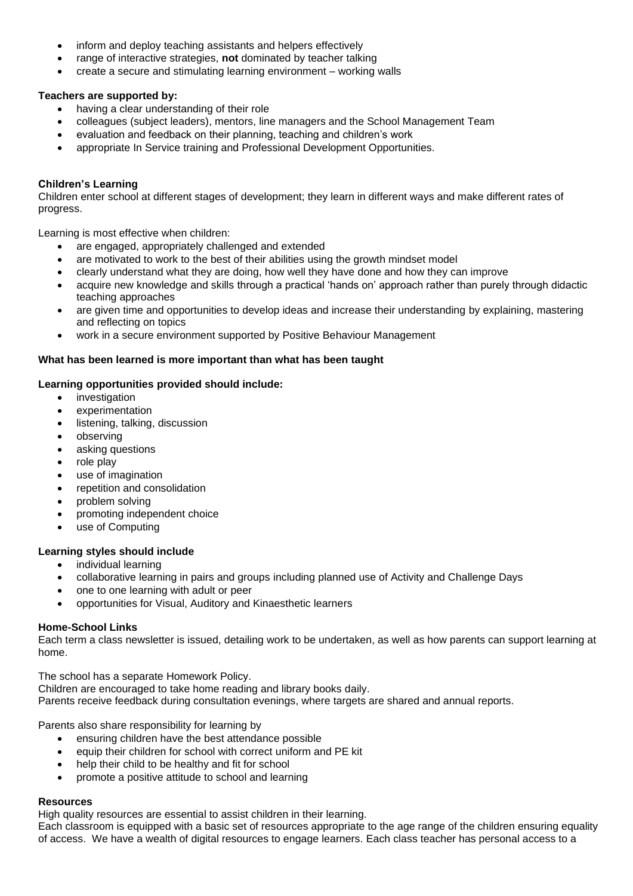- inform and deploy teaching assistants and helpers effectively
- range of interactive strategies, **not** dominated by teacher talking
- create a secure and stimulating learning environment working walls

# **Teachers are supported by:**

- having a clear understanding of their role
- colleagues (subject leaders), mentors, line managers and the School Management Team
- evaluation and feedback on their planning, teaching and children's work
- appropriate In Service training and Professional Development Opportunities.

# **Children's Learning**

Children enter school at different stages of development; they learn in different ways and make different rates of progress.

Learning is most effective when children:

- are engaged, appropriately challenged and extended
- are motivated to work to the best of their abilities using the growth mindset model
- clearly understand what they are doing, how well they have done and how they can improve
- acquire new knowledge and skills through a practical 'hands on' approach rather than purely through didactic teaching approaches
- are given time and opportunities to develop ideas and increase their understanding by explaining, mastering and reflecting on topics
- work in a secure environment supported by Positive Behaviour Management

# **What has been learned is more important than what has been taught**

#### **Learning opportunities provided should include:**

- investigation
- experimentation
- listening, talking, discussion
- observing
- asking questions
- role play
- use of imagination
- repetition and consolidation
- problem solving
- promoting independent choice
- use of Computing

# **Learning styles should include**

- individual learning
- collaborative learning in pairs and groups including planned use of Activity and Challenge Days
- one to one learning with adult or peer
- opportunities for Visual, Auditory and Kinaesthetic learners

# **Home-School Links**

Each term a class newsletter is issued, detailing work to be undertaken, as well as how parents can support learning at home.

The school has a separate Homework Policy.

Children are encouraged to take home reading and library books daily.

Parents receive feedback during consultation evenings, where targets are shared and annual reports.

Parents also share responsibility for learning by

- ensuring children have the best attendance possible
- equip their children for school with correct uniform and PE kit
- help their child to be healthy and fit for school
- promote a positive attitude to school and learning

# **Resources**

High quality resources are essential to assist children in their learning.

Each classroom is equipped with a basic set of resources appropriate to the age range of the children ensuring equality of access. We have a wealth of digital resources to engage learners. Each class teacher has personal access to a